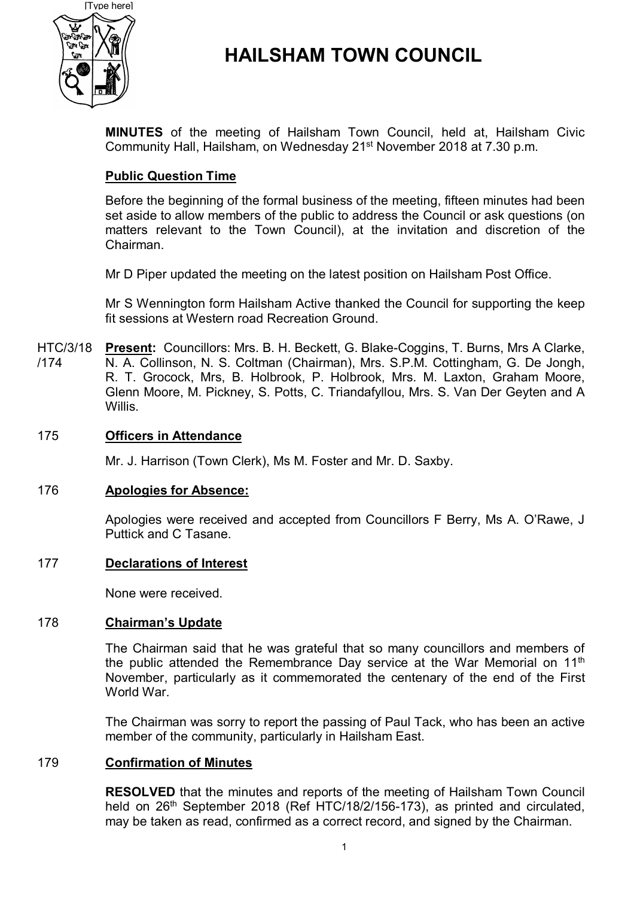

# **HAILSHAM TOWN COUNCIL**

**MINUTES** of the meeting of Hailsham Town Council, held at, Hailsham Civic Community Hall, Hailsham, on Wednesday 21<sup>st</sup> November 2018 at 7.30 p.m.

## **Public Question Time**

Before the beginning of the formal business of the meeting, fifteen minutes had been set aside to allow members of the public to address the Council or ask questions (on matters relevant to the Town Council), at the invitation and discretion of the Chairman.

Mr D Piper updated the meeting on the latest position on Hailsham Post Office.

Mr S Wennington form Hailsham Active thanked the Council for supporting the keep fit sessions at Western road Recreation Ground.

HTC/3/18 **Present:** Councillors: Mrs. B. H. Beckett, G. Blake-Coggins, T. Burns, Mrs A Clarke, /174 N. A. Collinson, N. S. Coltman (Chairman), Mrs. S.P.M. Cottingham, G. De Jongh, R. T. Grocock, Mrs, B. Holbrook, P. Holbrook, Mrs. M. Laxton, Graham Moore, Glenn Moore, M. Pickney, S. Potts, C. Triandafyllou, Mrs. S. Van Der Geyten and A Willis.

### 175 **Officers in Attendance**

Mr. J. Harrison (Town Clerk), Ms M. Foster and Mr. D. Saxby.

### 176 **Apologies for Absence:**

Apologies were received and accepted from Councillors F Berry, Ms A. O'Rawe, J Puttick and C Tasane.

### 177 **Declarations of Interest**

None were received.

### 178 **Chairman's Update**

The Chairman said that he was grateful that so many councillors and members of the public attended the Remembrance Day service at the War Memorial on  $11<sup>th</sup>$ November, particularly as it commemorated the centenary of the end of the First World War.

The Chairman was sorry to report the passing of Paul Tack, who has been an active member of the community, particularly in Hailsham East.

### 179 **Confirmation of Minutes**

**RESOLVED** that the minutes and reports of the meeting of Hailsham Town Council held on 26<sup>th</sup> September 2018 (Ref HTC/18/2/156-173), as printed and circulated, may be taken as read, confirmed as a correct record, and signed by the Chairman.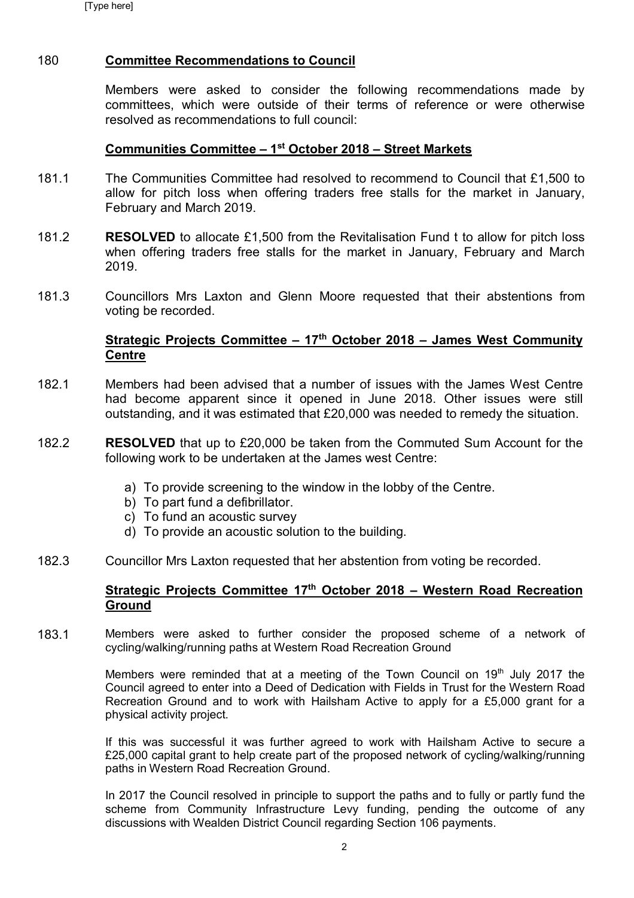### 180 **Committee Recommendations to Council**

Members were asked to consider the following recommendations made by committees, which were outside of their terms of reference or were otherwise resolved as recommendations to full council:

### **Communities Committee – 1 st October 2018 – Street Markets**

- 181.1 The Communities Committee had resolved to recommend to Council that £1,500 to allow for pitch loss when offering traders free stalls for the market in January, February and March 2019.
- 181.2 **RESOLVED** to allocate £1,500 from the Revitalisation Fund t to allow for pitch loss when offering traders free stalls for the market in January, February and March 2019.
- 181.3 Councillors Mrs Laxton and Glenn Moore requested that their abstentions from voting be recorded.

### **Strategic Projects Committee – 17th October 2018 – James West Community Centre**

- 182.1 Members had been advised that a number of issues with the James West Centre had become apparent since it opened in June 2018. Other issues were still outstanding, and it was estimated that £20,000 was needed to remedy the situation.
- 182.2 **RESOLVED** that up to £20,000 be taken from the Commuted Sum Account for the following work to be undertaken at the James west Centre:
	- a) To provide screening to the window in the lobby of the Centre.
	- b) To part fund a defibrillator.
	- c) To fund an acoustic survey
	- d) To provide an acoustic solution to the building.
- 182.3 Councillor Mrs Laxton requested that her abstention from voting be recorded.

### **Strategic Projects Committee 17th October 2018 – Western Road Recreation Ground**

183.1 Members were asked to further consider the proposed scheme of a network of cycling/walking/running paths at Western Road Recreation Ground

> Members were reminded that at a meeting of the Town Council on  $19<sup>th</sup>$  July 2017 the Council agreed to enter into a Deed of Dedication with Fields in Trust for the Western Road Recreation Ground and to work with Hailsham Active to apply for a £5,000 grant for a physical activity project.

> If this was successful it was further agreed to work with Hailsham Active to secure a £25,000 capital grant to help create part of the proposed network of cycling/walking/running paths in Western Road Recreation Ground.

> In 2017 the Council resolved in principle to support the paths and to fully or partly fund the scheme from Community Infrastructure Levy funding, pending the outcome of any discussions with Wealden District Council regarding Section 106 payments.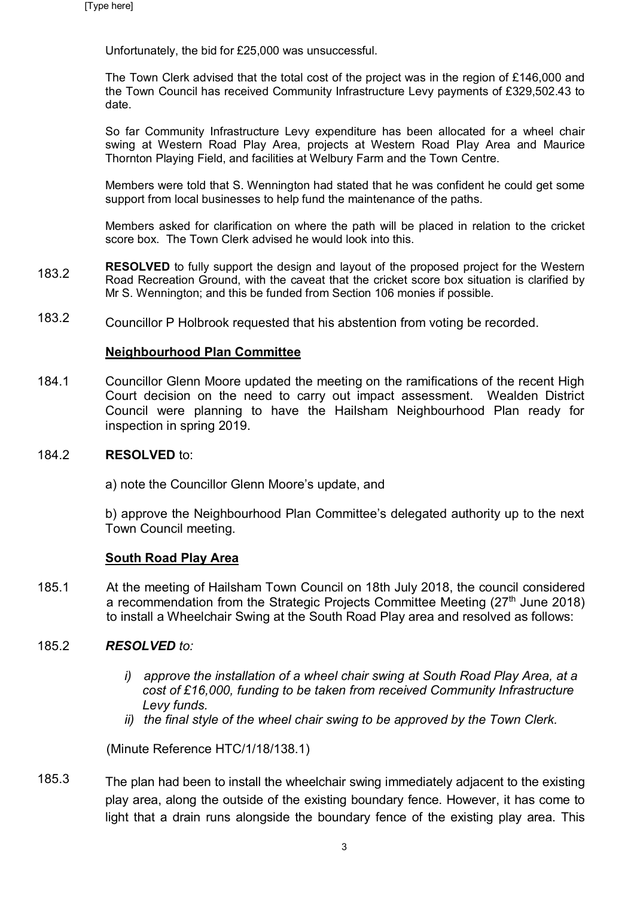Unfortunately, the bid for £25,000 was unsuccessful.

The Town Clerk advised that the total cost of the project was in the region of £146,000 and the Town Council has received Community Infrastructure Levy payments of £329,502.43 to date.

So far Community Infrastructure Levy expenditure has been allocated for a wheel chair swing at Western Road Play Area, projects at Western Road Play Area and Maurice Thornton Playing Field, and facilities at Welbury Farm and the Town Centre.

Members were told that S. Wennington had stated that he was confident he could get some support from local businesses to help fund the maintenance of the paths.

Members asked for clarification on where the path will be placed in relation to the cricket score box. The Town Clerk advised he would look into this.

- 183.2 **RESOLVED** to fully support the design and layout of the proposed project for the Western Road Recreation Ground, with the caveat that the cricket score box situation is clarified by Mr S. Wennington; and this be funded from Section 106 monies if possible.
- 183.2 Councillor P Holbrook requested that his abstention from voting be recorded.

### **Neighbourhood Plan Committee**

184.1 Councillor Glenn Moore updated the meeting on the ramifications of the recent High Court decision on the need to carry out impact assessment. Wealden District Council were planning to have the Hailsham Neighbourhood Plan ready for inspection in spring 2019.

#### 184.2 **RESOLVED** to:

a) note the Councillor Glenn Moore's update, and

b) approve the Neighbourhood Plan Committee's delegated authority up to the next Town Council meeting.

### **South Road Play Area**

185.1 At the meeting of Hailsham Town Council on 18th July 2018, the council considered a recommendation from the Strategic Projects Committee Meeting (27<sup>th</sup> June 2018) to install a Wheelchair Swing at the South Road Play area and resolved as follows:

#### 185.2 *RESOLVED to:*

- *i) approve the installation of a wheel chair swing at South Road Play Area, at a cost of £16,000, funding to be taken from received Community Infrastructure Levy funds.*
- *ii) the final style of the wheel chair swing to be approved by the Town Clerk.*

(Minute Reference HTC/1/18/138.1)

185.3 The plan had been to install the wheelchair swing immediately adjacent to the existing play area, along the outside of the existing boundary fence. However, it has come to light that a drain runs alongside the boundary fence of the existing play area. This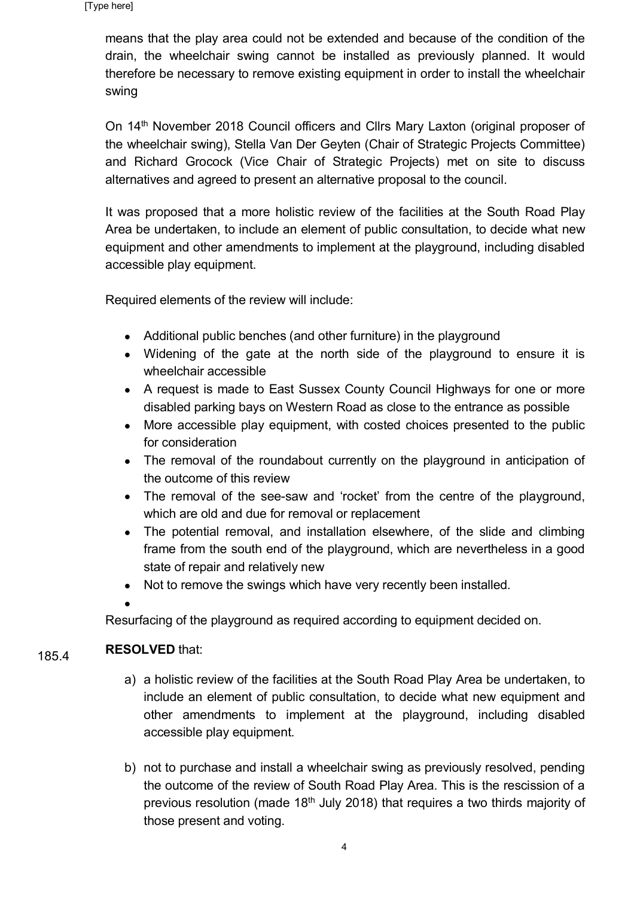means that the play area could not be extended and because of the condition of the drain, the wheelchair swing cannot be installed as previously planned. It would therefore be necessary to remove existing equipment in order to install the wheelchair swing

On 14<sup>th</sup> November 2018 Council officers and Cllrs Mary Laxton (original proposer of the wheelchair swing), Stella Van Der Geyten (Chair of Strategic Projects Committee) and Richard Grocock (Vice Chair of Strategic Projects) met on site to discuss alternatives and agreed to present an alternative proposal to the council.

It was proposed that a more holistic review of the facilities at the South Road Play Area be undertaken, to include an element of public consultation, to decide what new equipment and other amendments to implement at the playground, including disabled accessible play equipment.

Required elements of the review will include:

- Additional public benches (and other furniture) in the playground
- Widening of the gate at the north side of the playground to ensure it is wheelchair accessible
- A request is made to East Sussex County Council Highways for one or more disabled parking bays on Western Road as close to the entrance as possible
- More accessible play equipment, with costed choices presented to the public for consideration
- The removal of the roundabout currently on the playground in anticipation of the outcome of this review
- The removal of the see-saw and 'rocket' from the centre of the playground, which are old and due for removal or replacement
- The potential removal, and installation elsewhere, of the slide and climbing frame from the south end of the playground, which are nevertheless in a good state of repair and relatively new
- Not to remove the swings which have very recently been installed.
- $\bullet$

Resurfacing of the playground as required according to equipment decided on.

### 185.4 **RESOLVED** that:

- a) a holistic review of the facilities at the South Road Play Area be undertaken, to include an element of public consultation, to decide what new equipment and other amendments to implement at the playground, including disabled accessible play equipment.
- b) not to purchase and install a wheelchair swing as previously resolved, pending the outcome of the review of South Road Play Area. This is the rescission of a previous resolution (made  $18<sup>th</sup>$  July 2018) that requires a two thirds majority of those present and voting.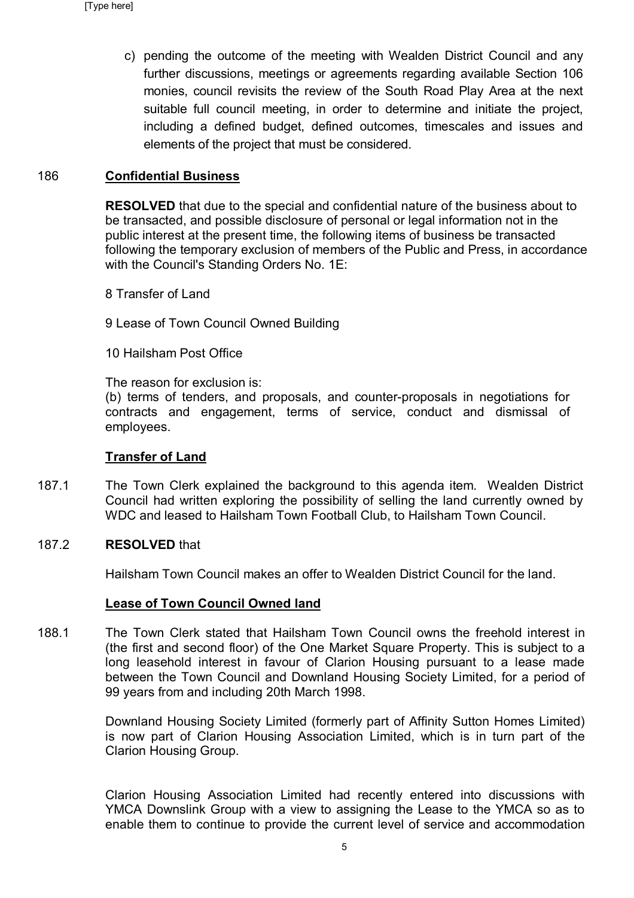c) pending the outcome of the meeting with Wealden District Council and any further discussions, meetings or agreements regarding available Section 106 monies, council revisits the review of the South Road Play Area at the next suitable full council meeting, in order to determine and initiate the project, including a defined budget, defined outcomes, timescales and issues and elements of the project that must be considered.

### 186 **Confidential Business**

**RESOLVED** that due to the special and confidential nature of the business about to be transacted, and possible disclosure of personal or legal information not in the public interest at the present time, the following items of business be transacted following the temporary exclusion of members of the Public and Press, in accordance with the Council's Standing Orders No. 1E:

- 8 Transfer of Land
- 9 Lease of Town Council Owned Building
- 10 Hailsham Post Office

The reason for exclusion is:

(b) terms of tenders, and proposals, and counter-proposals in negotiations for contracts and engagement, terms of service, conduct and dismissal of employees.

### **Transfer of Land**

187.1 The Town Clerk explained the background to this agenda item. Wealden District Council had written exploring the possibility of selling the land currently owned by WDC and leased to Hailsham Town Football Club, to Hailsham Town Council.

#### 187.2 **RESOLVED** that

Hailsham Town Council makes an offer to Wealden District Council for the land.

### **Lease of Town Council Owned land**

188.1 The Town Clerk stated that Hailsham Town Council owns the freehold interest in (the first and second floor) of the One Market Square Property. This is subject to a long leasehold interest in favour of Clarion Housing pursuant to a lease made between the Town Council and Downland Housing Society Limited, for a period of 99 years from and including 20th March 1998.

> Downland Housing Society Limited (formerly part of Affinity Sutton Homes Limited) is now part of Clarion Housing Association Limited, which is in turn part of the Clarion Housing Group.

> Clarion Housing Association Limited had recently entered into discussions with YMCA Downslink Group with a view to assigning the Lease to the YMCA so as to enable them to continue to provide the current level of service and accommodation